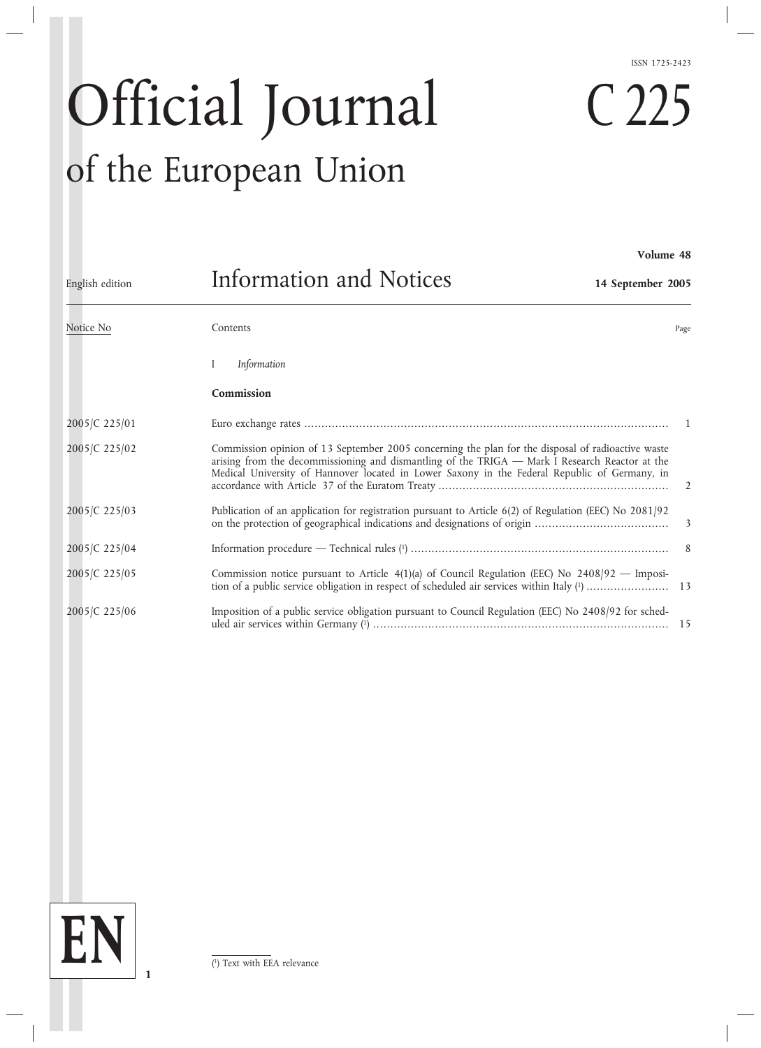# Official Journal of the European Union

I *Information* **Commission** 2005/C 225/01 Euro exchange rates .......................................................................................................... 1 2005/C 225/02 Commission opinion of 13 September 2005 concerning the plan for the disposal of radioactive waste arising from the decommissioning and dismantling of the TRIGA — Mark I Research Reactor at the Medical University of Hannover located in Lower Saxony in the Federal Republic of Germany, in accordance with Article 37 of the Euratom Treaty ................................................................... 2 2005/C 225/03 Publication of an application for registration pursuant to Article 6(2) of Regulation (EEC) No 2081/92 on the protection of geographical indications and designations of origin ....................................... 3 2005/C 225/04 Information procedure — Technical rules (1) ........................................................................... 8 2005/C 225/05 Commission notice pursuant to Article 4(1)(a) of Council Regulation (EEC) No 2408/92 — Imposition of a public service obligation in respect of scheduled air services within Italy (1) ........................ 13 2005/C 225/06 Imposition of a public service obligation pursuant to Council Regulation (EEC) No 2408/92 for scheduled air services within Germany (1) ...................................................................................... 15 Notice No **Contents** Contents **Page** English edition Information and Notices **14 September 2005**

# ISSN 1725-2423

C 225

**Volume 48**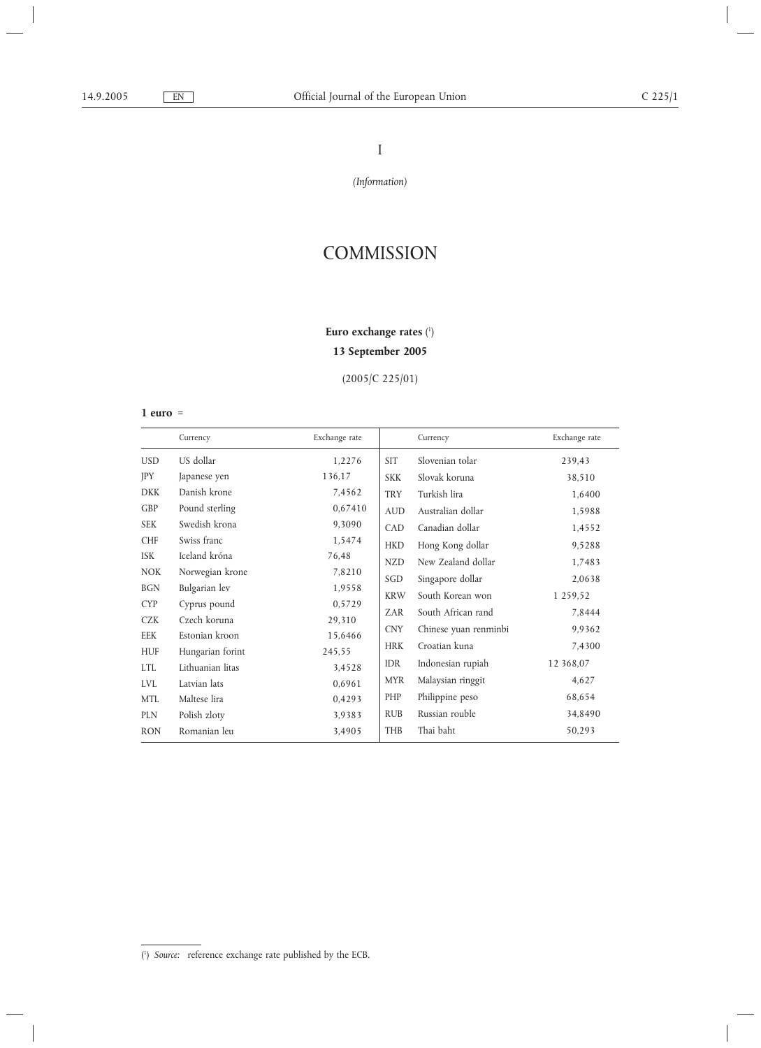# I

*(Information)*

# **COMMISSION**

#### **Euro exchange rates** ( 1 )

# **13 September 2005**

(2005/C 225/01)

#### **1 euro** =

|            | Currency         | Exchange rate |            | Currency              | Exchange rate |
|------------|------------------|---------------|------------|-----------------------|---------------|
| <b>USD</b> | US dollar        | 1,2276        | <b>SIT</b> | Slovenian tolar       | 239,43        |
| JPY        | Japanese yen     | 136,17        | <b>SKK</b> | Slovak koruna         | 38,510        |
| <b>DKK</b> | Danish krone     | 7,4562        | <b>TRY</b> | Turkish lira          | 1,6400        |
| <b>GBP</b> | Pound sterling   | 0,67410       | <b>AUD</b> | Australian dollar     | 1,5988        |
| <b>SEK</b> | Swedish krona    | 9,3090        | CAD        | Canadian dollar       | 1,4552        |
| <b>CHF</b> | Swiss franc      | 1,5474        | <b>HKD</b> | Hong Kong dollar      | 9,5288        |
| <b>ISK</b> | Iceland króna    | 76,48         | <b>NZD</b> | New Zealand dollar    | 1,7483        |
| <b>NOK</b> | Norwegian krone  | 7,8210        | SGD        | Singapore dollar      | 2,0638        |
| <b>BGN</b> | Bulgarian lev    | 1,9558        | <b>KRW</b> | South Korean won      | 1 259,52      |
| <b>CYP</b> | Cyprus pound     | 0,5729        |            |                       |               |
| <b>CZK</b> | Czech koruna     | 29,310        | ZAR        | South African rand    | 7,8444        |
| EEK        | Estonian kroon   | 15,6466       | <b>CNY</b> | Chinese yuan renminbi | 9,9362        |
| <b>HUF</b> | Hungarian forint | 245,55        | <b>HRK</b> | Croatian kuna         | 7,4300        |
| <b>LTL</b> | Lithuanian litas | 3,4528        | <b>IDR</b> | Indonesian rupiah     | 12 368,07     |
| <b>LVL</b> | Latvian lats     | 0,6961        | <b>MYR</b> | Malaysian ringgit     | 4,627         |
| <b>MTL</b> | Maltese lira     | 0,4293        | PHP        | Philippine peso       | 68,654        |
| <b>PLN</b> | Polish zloty     | 3,9383        | <b>RUB</b> | Russian rouble        | 34,8490       |
| <b>RON</b> | Romanian leu     | 3,4905        | <b>THB</b> | Thai baht             | 50,293        |

<sup>(</sup> 1 ) *Source:* reference exchange rate published by the ECB.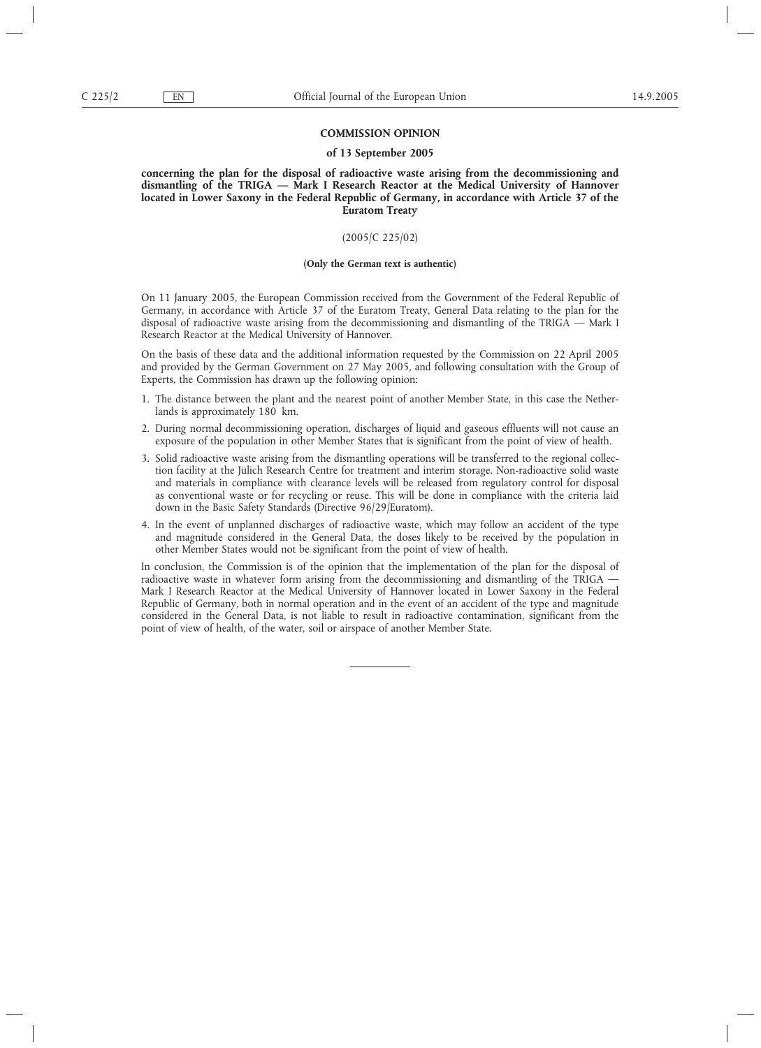#### **COMMISSION OPINION**

#### **of 13 September 2005**

**concerning the plan for the disposal of radioactive waste arising from the decommissioning and dismantling of the TRIGA — Mark I Research Reactor at the Medical University of Hannover located in Lower Saxony in the Federal Republic of Germany, in accordance with Article 37 of the Euratom Treaty**

#### (2005/C 225/02)

#### **(Only the German text is authentic)**

On 11 January 2005, the European Commission received from the Government of the Federal Republic of Germany, in accordance with Article 37 of the Euratom Treaty, General Data relating to the plan for the disposal of radioactive waste arising from the decommissioning and dismantling of the TRIGA — Mark I Research Reactor at the Medical University of Hannover.

On the basis of these data and the additional information requested by the Commission on 22 April 2005 and provided by the German Government on 27 May 2005, and following consultation with the Group of Experts, the Commission has drawn up the following opinion:

- 1. The distance between the plant and the nearest point of another Member State, in this case the Netherlands is approximately 180 km.
- 2. During normal decommissioning operation, discharges of liquid and gaseous effluents will not cause an exposure of the population in other Member States that is significant from the point of view of health.
- 3. Solid radioactive waste arising from the dismantling operations will be transferred to the regional collection facility at the Jülich Research Centre for treatment and interim storage. Non-radioactive solid waste and materials in compliance with clearance levels will be released from regulatory control for disposal as conventional waste or for recycling or reuse. This will be done in compliance with the criteria laid down in the Basic Safety Standards (Directive 96/29/Euratom).
- 4. In the event of unplanned discharges of radioactive waste, which may follow an accident of the type and magnitude considered in the General Data, the doses likely to be received by the population in other Member States would not be significant from the point of view of health.

In conclusion, the Commission is of the opinion that the implementation of the plan for the disposal of radioactive waste in whatever form arising from the decommissioning and dismantling of the TRIGA — Mark I Research Reactor at the Medical University of Hannover located in Lower Saxony in the Federal Republic of Germany, both in normal operation and in the event of an accident of the type and magnitude considered in the General Data, is not liable to result in radioactive contamination, significant from the point of view of health, of the water, soil or airspace of another Member State.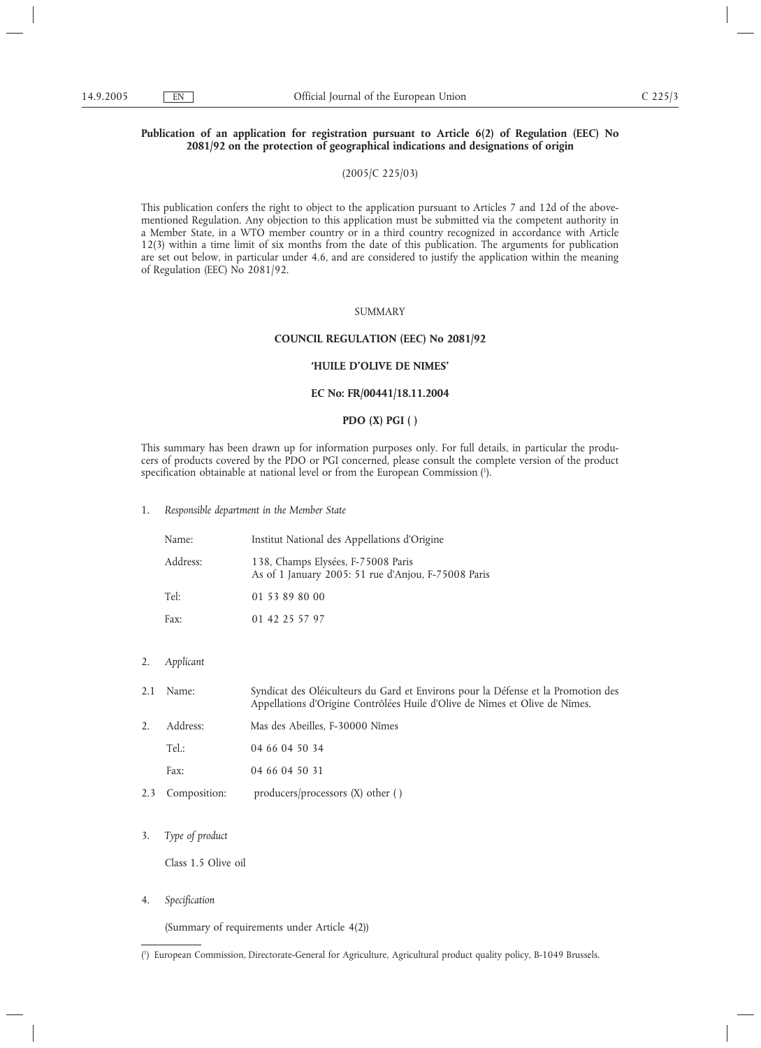# **Publication of an application for registration pursuant to Article 6(2) of Regulation (EEC) No 2081/92 on the protection of geographical indications and designations of origin**

# (2005/C 225/03)

This publication confers the right to object to the application pursuant to Articles 7 and 12d of the abovementioned Regulation. Any objection to this application must be submitted via the competent authority in a Member State, in a WTO member country or in a third country recognized in accordance with Article 12(3) within a time limit of six months from the date of this publication. The arguments for publication are set out below, in particular under 4.6, and are considered to justify the application within the meaning of Regulation (EEC) No 2081/92.

# SUMMARY

#### **COUNCIL REGULATION (EEC) No 2081/92**

#### **'HUILE D'OLIVE DE NIMES'**

#### **EC No: FR/00441/18.11.2004**

# **PDO (X) PGI ( )**

This summary has been drawn up for information purposes only. For full details, in particular the producers of products covered by the PDO or PGI concerned, please consult the complete version of the product specification obtainable at national level or from the European Commission (1 ).

1. *Responsible department in the Member State*

| Name:    | Institut National des Appellations d'Origine                                              |  |  |  |  |
|----------|-------------------------------------------------------------------------------------------|--|--|--|--|
| Address: | 138, Champs Elysées, F-75008 Paris<br>As of 1 January 2005: 51 rue d'Anjou, F-75008 Paris |  |  |  |  |
| Tel:     | 01 53 89 80 00                                                                            |  |  |  |  |
| Fax:     | 01 42 25 57 97                                                                            |  |  |  |  |

- 2. *Applicant*
- 2.1 Name: Syndicat des Oléiculteurs du Gard et Environs pour la Défense et la Promotion des Appellations d'Origine Contrôlées Huile d'Olive de Nîmes et Olive de Nîmes.
- 2. Address: Mas des Abeilles, F-30000 Nîmes
	- Tel.: 04 66 04 50 34
	- Fax: 04 66 04 50 31
- 2.3 Composition: producers/processors (X) other ()
- 3. *Type of product*

Class 1.5 Olive oil

4. *Specification*

(Summary of requirements under Article 4(2))

<sup>(</sup> 1 ) European Commission, Directorate-General for Agriculture, Agricultural product quality policy, B-1049 Brussels.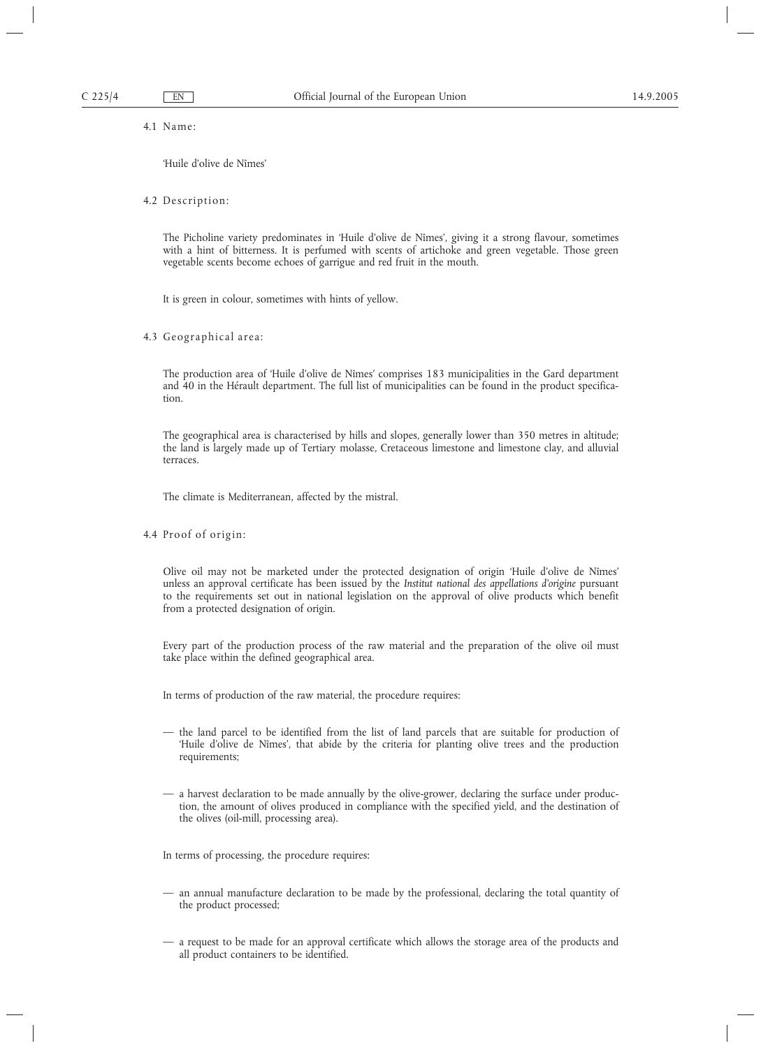4.1 Name:

'Huile d'olive de Nîmes'

#### 4.2 Description:

The Picholine variety predominates in 'Huile d'olive de Nîmes', giving it a strong flavour, sometimes with a hint of bitterness. It is perfumed with scents of artichoke and green vegetable. Those green vegetable scents become echoes of garrigue and red fruit in the mouth.

It is green in colour, sometimes with hints of yellow.

4.3 Geographical area:

The production area of 'Huile d'olive de Nîmes' comprises 183 municipalities in the Gard department and 40 in the Hérault department. The full list of municipalities can be found in the product specification.

The geographical area is characterised by hills and slopes, generally lower than 350 metres in altitude; the land is largely made up of Tertiary molasse, Cretaceous limestone and limestone clay, and alluvial terraces.

The climate is Mediterranean, affected by the mistral.

4.4 Proof of origin:

Olive oil may not be marketed under the protected designation of origin 'Huile d'olive de Nîmes' unless an approval certificate has been issued by the *Institut national des appellations d'origine* pursuant to the requirements set out in national legislation on the approval of olive products which benefit from a protected designation of origin.

Every part of the production process of the raw material and the preparation of the olive oil must take place within the defined geographical area.

In terms of production of the raw material, the procedure requires:

- the land parcel to be identified from the list of land parcels that are suitable for production of 'Huile d'olive de Nîmes', that abide by the criteria for planting olive trees and the production requirements;
- a harvest declaration to be made annually by the olive-grower, declaring the surface under production, the amount of olives produced in compliance with the specified yield, and the destination of the olives (oil-mill, processing area).

In terms of processing, the procedure requires:

- an annual manufacture declaration to be made by the professional, declaring the total quantity of the product processed;
- a request to be made for an approval certificate which allows the storage area of the products and all product containers to be identified.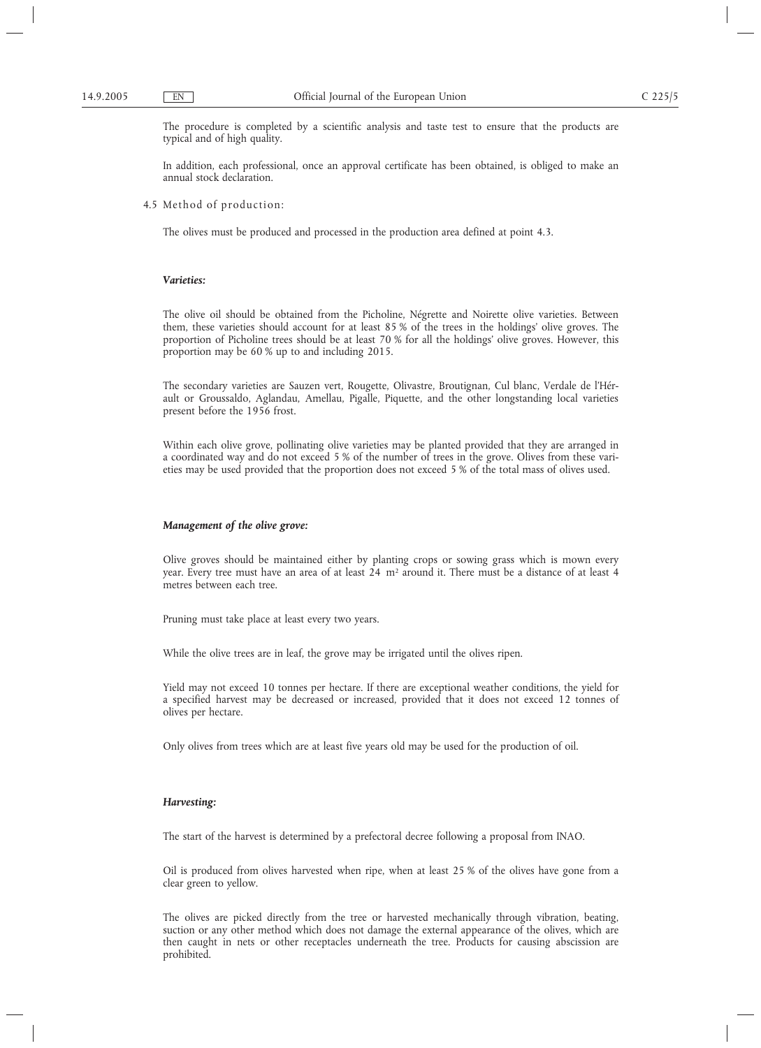The procedure is completed by a scientific analysis and taste test to ensure that the products are typical and of high quality.

In addition, each professional, once an approval certificate has been obtained, is obliged to make an annual stock declaration.

4.5 Method of production:

The olives must be produced and processed in the production area defined at point 4.3.

# *Varieties:*

The olive oil should be obtained from the Picholine, Négrette and Noirette olive varieties. Between them, these varieties should account for at least 85 % of the trees in the holdings' olive groves. The proportion of Picholine trees should be at least 70 % for all the holdings' olive groves. However, this proportion may be 60 % up to and including 2015.

The secondary varieties are Sauzen vert, Rougette, Olivastre, Broutignan, Cul blanc, Verdale de l'Hérault or Groussaldo, Aglandau, Amellau, Pigalle, Piquette, and the other longstanding local varieties present before the 1956 frost.

Within each olive grove, pollinating olive varieties may be planted provided that they are arranged in a coordinated way and do not exceed 5 % of the number of trees in the grove. Olives from these varieties may be used provided that the proportion does not exceed 5 % of the total mass of olives used.

#### *Management of the olive grove:*

Olive groves should be maintained either by planting crops or sowing grass which is mown every year. Every tree must have an area of at least 24 m<sup>2</sup> around it. There must be a distance of at least 4 metres between each tree.

Pruning must take place at least every two years.

While the olive trees are in leaf, the grove may be irrigated until the olives ripen.

Yield may not exceed 10 tonnes per hectare. If there are exceptional weather conditions, the yield for a specified harvest may be decreased or increased, provided that it does not exceed 12 tonnes of olives per hectare.

Only olives from trees which are at least five years old may be used for the production of oil.

#### *Harvesting:*

The start of the harvest is determined by a prefectoral decree following a proposal from INAO.

Oil is produced from olives harvested when ripe, when at least 25 % of the olives have gone from a clear green to yellow.

The olives are picked directly from the tree or harvested mechanically through vibration, beating, suction or any other method which does not damage the external appearance of the olives, which are then caught in nets or other receptacles underneath the tree. Products for causing abscission are prohibited.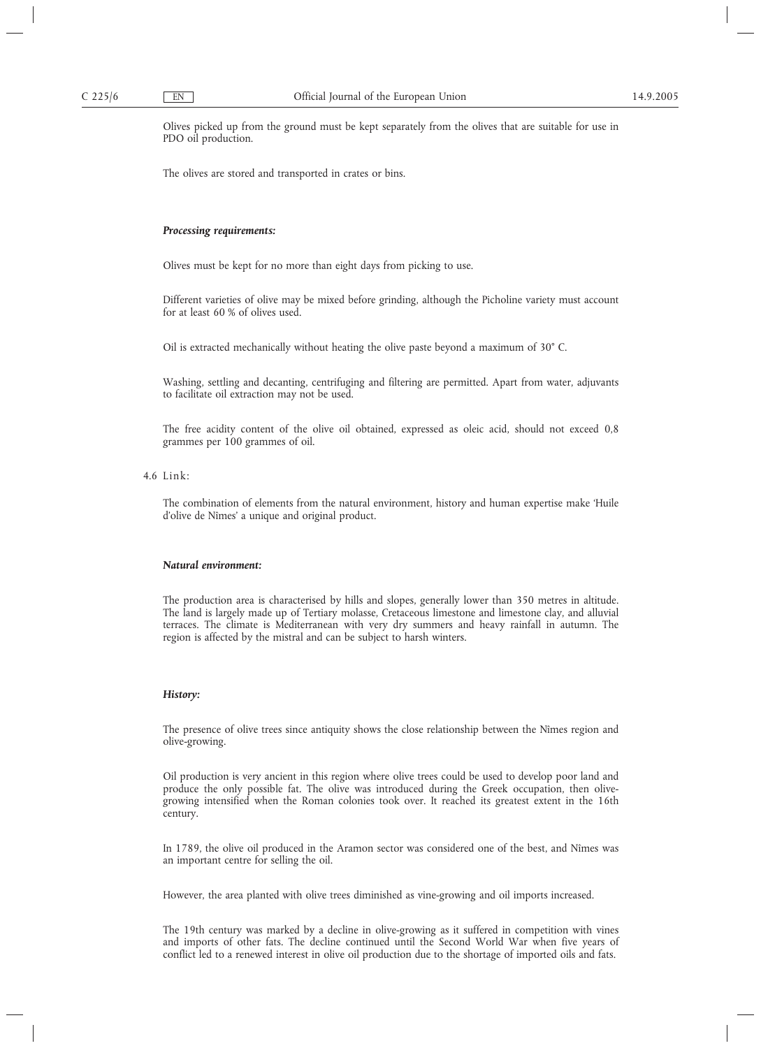Olives picked up from the ground must be kept separately from the olives that are suitable for use in PDO oil production.

The olives are stored and transported in crates or bins.

# *Processing requirements:*

Olives must be kept for no more than eight days from picking to use.

Different varieties of olive may be mixed before grinding, although the Picholine variety must account for at least 60 % of olives used.

Oil is extracted mechanically without heating the olive paste beyond a maximum of 30° C.

Washing, settling and decanting, centrifuging and filtering are permitted. Apart from water, adjuvants to facilitate oil extraction may not be used.

The free acidity content of the olive oil obtained, expressed as oleic acid, should not exceed 0,8 grammes per 100 grammes of oil.

 $4.6$  Link:

The combination of elements from the natural environment, history and human expertise make 'Huile d'olive de Nîmes' a unique and original product.

#### *Natural environment:*

The production area is characterised by hills and slopes, generally lower than 350 metres in altitude. The land is largely made up of Tertiary molasse, Cretaceous limestone and limestone clay, and alluvial terraces. The climate is Mediterranean with very dry summers and heavy rainfall in autumn. The region is affected by the mistral and can be subject to harsh winters.

# *History:*

The presence of olive trees since antiquity shows the close relationship between the Nîmes region and olive-growing.

Oil production is very ancient in this region where olive trees could be used to develop poor land and produce the only possible fat. The olive was introduced during the Greek occupation, then olivegrowing intensified when the Roman colonies took over. It reached its greatest extent in the 16th century.

In 1789, the olive oil produced in the Aramon sector was considered one of the best, and Nîmes was an important centre for selling the oil.

However, the area planted with olive trees diminished as vine-growing and oil imports increased.

The 19th century was marked by a decline in olive-growing as it suffered in competition with vines and imports of other fats. The decline continued until the Second World War when five years of conflict led to a renewed interest in olive oil production due to the shortage of imported oils and fats.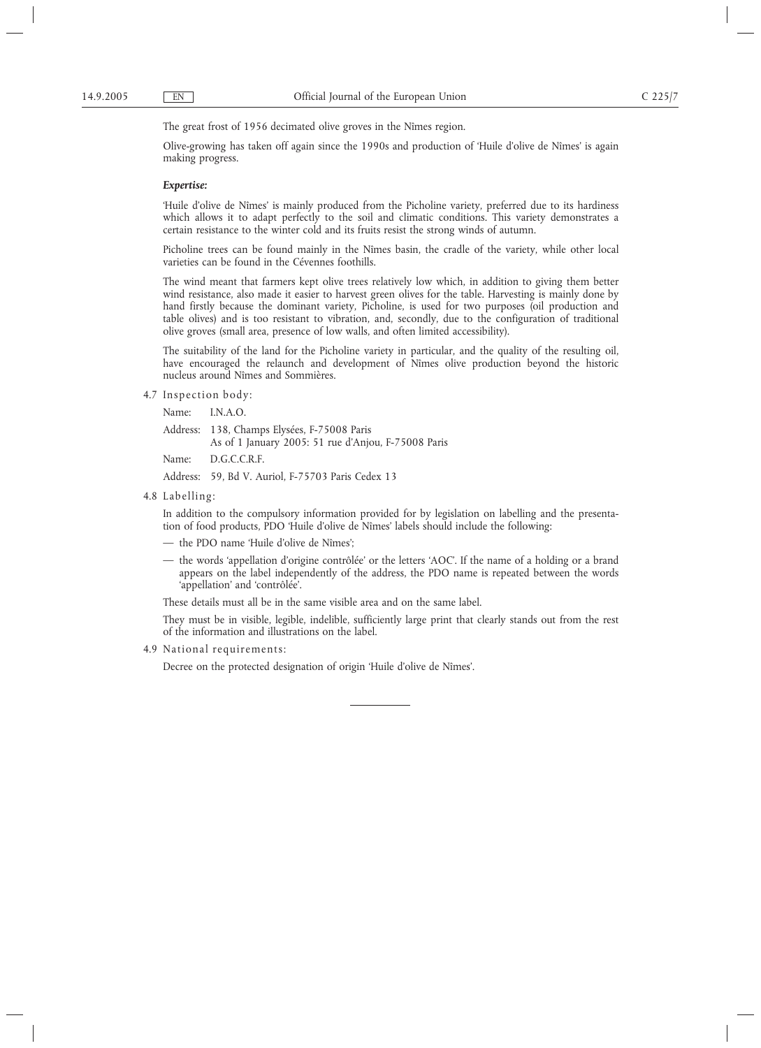The great frost of 1956 decimated olive groves in the Nîmes region.

Olive-growing has taken off again since the 1990s and production of 'Huile d'olive de Nîmes' is again making progress.

#### *Expertise:*

'Huile d'olive de Nîmes' is mainly produced from the Picholine variety, preferred due to its hardiness which allows it to adapt perfectly to the soil and climatic conditions. This variety demonstrates a certain resistance to the winter cold and its fruits resist the strong winds of autumn.

Picholine trees can be found mainly in the Nîmes basin, the cradle of the variety, while other local varieties can be found in the Cévennes foothills.

The wind meant that farmers kept olive trees relatively low which, in addition to giving them better wind resistance, also made it easier to harvest green olives for the table. Harvesting is mainly done by hand firstly because the dominant variety, Picholine, is used for two purposes (oil production and table olives) and is too resistant to vibration, and, secondly, due to the configuration of traditional olive groves (small area, presence of low walls, and often limited accessibility).

The suitability of the land for the Picholine variety in particular, and the quality of the resulting oil, have encouraged the relaunch and development of Nîmes olive production beyond the historic nucleus around Nîmes and Sommières.

4.7 Inspection body:

Name: I.N.A.O.

Address: 138, Champs Elysées, F-75008 Paris

As of 1 January 2005: 51 rue d'Anjou, F-75008 Paris

Name: D.G.C.C.R.F.

Address: 59, Bd V. Auriol, F-75703 Paris Cedex 13

4.8 Labelling:

In addition to the compulsory information provided for by legislation on labelling and the presentation of food products, PDO 'Huile d'olive de Nîmes' labels should include the following:

- the PDO name 'Huile d'olive de Nîmes';
- the words 'appellation d'origine contrôlée' or the letters 'AOC'. If the name of a holding or a brand appears on the label independently of the address, the PDO name is repeated between the words 'appellation' and 'contrôlée'.

These details must all be in the same visible area and on the same label.

They must be in visible, legible, indelible, sufficiently large print that clearly stands out from the rest of the information and illustrations on the label.

4.9 National requirements:

Decree on the protected designation of origin 'Huile d'olive de Nîmes'.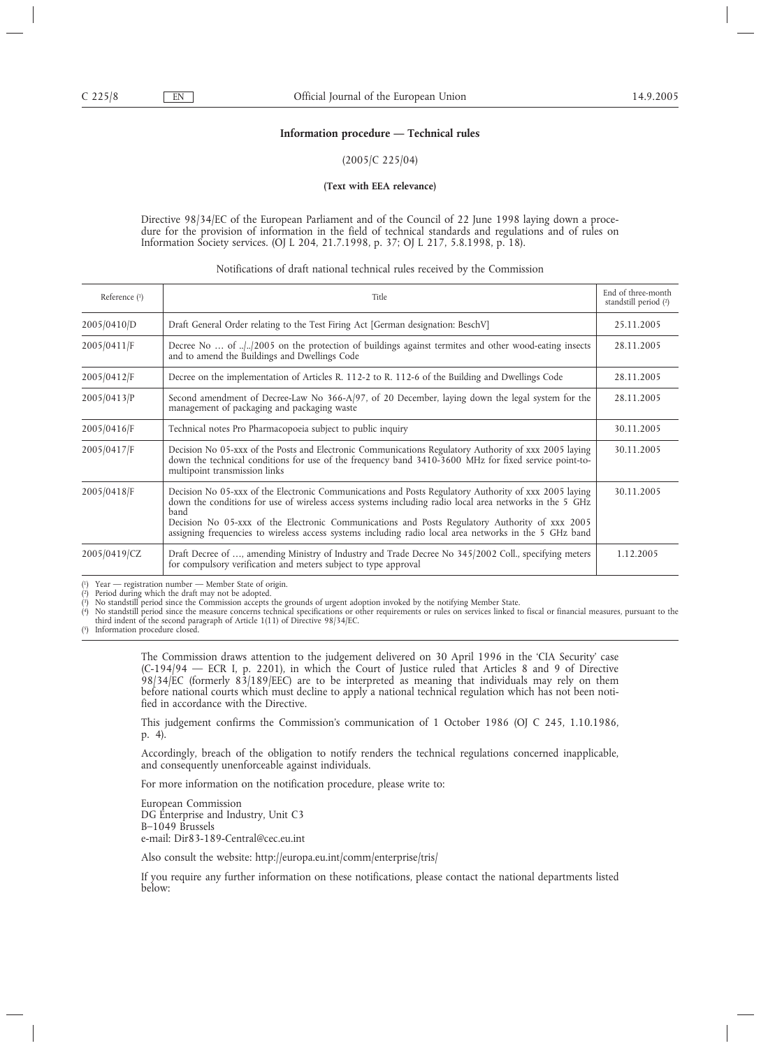#### **Information procedure — Technical rules**

#### (2005/C 225/04)

#### **(Text with EEA relevance)**

Directive 98/34/EC of the European Parliament and of the Council of 22 June 1998 laying down a procedure for the provision of information in the field of technical standards and regulations and of rules on Information Society services. (OJ L 204, 21.7.1998, p. 37; OJ L 217, 5.8.1998, p. 18).

#### Notifications of draft national technical rules received by the Commission

| Reference $(1)$ | Title                                                                                                                                                                                                                                                                                                                                                                                                                                | End of three-month<br>standstill period (2) |
|-----------------|--------------------------------------------------------------------------------------------------------------------------------------------------------------------------------------------------------------------------------------------------------------------------------------------------------------------------------------------------------------------------------------------------------------------------------------|---------------------------------------------|
| 2005/0410/D     | Draft General Order relating to the Test Firing Act [German designation: BeschV]                                                                                                                                                                                                                                                                                                                                                     | 25.11.2005                                  |
| 2005/0411/F     | Decree No $\dots$ of $\ldots$ (2005 on the protection of buildings against termites and other wood-eating insects<br>and to amend the Buildings and Dwellings Code                                                                                                                                                                                                                                                                   | 28.11.2005                                  |
| 2005/0412/F     | Decree on the implementation of Articles R. 112-2 to R. 112-6 of the Building and Dwellings Code                                                                                                                                                                                                                                                                                                                                     | 28.11.2005                                  |
| 2005/0413/P     | Second amendment of Decree-Law No 366-A/97, of 20 December, laying down the legal system for the<br>management of packaging and packaging waste                                                                                                                                                                                                                                                                                      | 28.11.2005                                  |
| 2005/0416/F     | Technical notes Pro Pharmacopoeia subject to public inquiry                                                                                                                                                                                                                                                                                                                                                                          | 30.11.2005                                  |
| 2005/0417/F     | Decision No 05-xxx of the Posts and Electronic Communications Regulatory Authority of xxx 2005 laying<br>down the technical conditions for use of the frequency band 3410-3600 MHz for fixed service point-to-<br>multipoint transmission links                                                                                                                                                                                      | 30.11.2005                                  |
| 2005/0418/F     | Decision No 05-xxx of the Electronic Communications and Posts Regulatory Authority of xxx 2005 laying<br>down the conditions for use of wireless access systems including radio local area networks in the 5 GHz<br>band<br>Decision No 05-xxx of the Electronic Communications and Posts Regulatory Authority of xxx 2005<br>assigning frequencies to wireless access systems including radio local area networks in the 5 GHz band | 30.11.2005                                  |
| 2005/0419/CZ    | Draft Decree of , amending Ministry of Industry and Trade Decree No 345/2002 Coll., specifying meters<br>for compulsory verification and meters subject to type approval                                                                                                                                                                                                                                                             | 1.12.2005                                   |

 $(1)$ 

 $(2)$ 

<sup>1</sup>) Year — registration number — Member State of origin.<br><sup>2</sup>) Period during which the draft may not be adopted.<br><sup>3</sup>) No standstill period since the Commission accepts the grounds of urgent adoption invoked by the notifyin ( (

No standstill period since the measure concerns technical specifications or other requirements or rules on services linked to fiscal or financial measures, pursuant to the third indent of the second paragraph of Article 1(11) of Directive 98/34/EC. 5) Information procedure closed.

 $(5)$ 

The Commission draws attention to the judgement delivered on 30 April 1996 in the 'CIA Security' case (C-194/94 — ECR I, p. 2201), in which the Court of Justice ruled that Articles 8 and 9 of Directive 98/34/EC (formerly 83/189/EEC) are to be interpreted as meaning that individuals may rely on them before national courts which must decline to apply a national technical regulation which has not been notified in accordance with the Directive.

This judgement confirms the Commission's communication of 1 October 1986 (OJ C 245, 1.10.1986, p. 4).

Accordingly, breach of the obligation to notify renders the technical regulations concerned inapplicable, and consequently unenforceable against individuals.

For more information on the notification procedure, please write to:

European Commission DG Enterprise and Industry, Unit C3 B–1049 Brussels e-mail: Dir83-189-Central@cec.eu.int

Also consult the website: http://europa.eu.int/comm/enterprise/tris/

If you require any further information on these notifications, please contact the national departments listed below: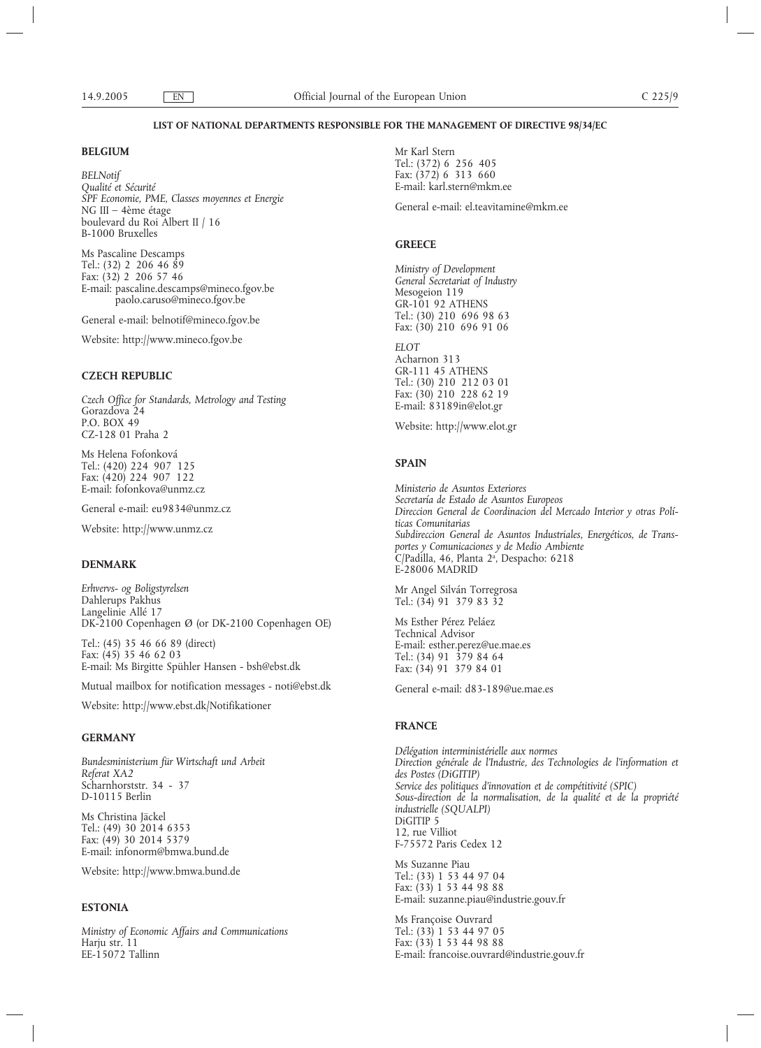#### **LIST OF NATIONAL DEPARTMENTS RESPONSIBLE FOR THE MANAGEMENT OF DIRECTIVE 98/34/EC**

# **BELGIUM**

*BELNotif Qualité et Sécurité SPF Economie, PME, Classes moyennes et Energie* NG III – 4ème étage boulevard du Roi Albert II / 16 B-1000 Bruxelles

Ms Pascaline Descamps Tel.: (32) 2 206 46 89 Fax: (32) 2 206 57 46 E-mail: pascaline.descamps@mineco.fgov.be paolo.caruso@mineco.fgov.be

General e-mail: belnotif@mineco.fgov.be

Website: http://www.mineco.fgov.be

# **CZECH REPUBLIC**

*Czech Office for Standards, Metrology and Testing* Gorazdova 24 P.O. BOX 49 CZ-128 01 Praha 2

Ms Helena Fofonková Tel.: (420) 224 907 125 Fax: (420) 224 907 122 E-mail: fofonkova@unmz.cz

General e-mail: eu9834@unmz.cz

Website: http://www.unmz.cz

# **DENMARK**

*Erhvervs- og Boligstyrelsen* Dahlerups Pakhus Langelinie Allé 17 DK-2100 Copenhagen Ø (or DK-2100 Copenhagen OE)

Tel.: (45) 35 46 66 89 (direct) Fax: (45) 35 46 62 03 E-mail: Ms Birgitte Spühler Hansen - bsh@ebst.dk

Mutual mailbox for notification messages - noti@ebst.dk

Website: http://www.ebst.dk/Notifikationer

#### **GERMANY**

*Bundesministerium für Wirtschaft und Arbeit Referat XA2* Scharnhorststr. 34 - 37 D-10115 Berlin

Ms Christina Jäckel Tel.: (49) 30 2014 6353 Fax: (49) 30 2014 5379 E-mail: infonorm@bmwa.bund.de

Website: http://www.bmwa.bund.de

# **ESTONIA**

*Ministry of Economic Affairs and Communications* Harju str. 11 EE-15072 Tallinn

Mr Karl Stern Tel.: (372) 6 256 405 Fax: (372) 6 313 660 E-mail: karl.stern@mkm.ee General e-mail: el.teavitamine@mkm.ee

# **GREECE**

*Ministry of Development General Secretariat of Industry* Mesogeion 119 GR-101 92 ATHENS Tel.: (30) 210 696 98 63 Fax: (30) 210 696 91 06

*ELOT* Acharnon 313 GR-111 45 ATHENS Tel.: (30) 210 212 03 01 Fax: (30) 210 228 62 19 E-mail: 83189in@elot.gr

Website: http://www.elot.gr

# **SPAIN**

*Ministerio de Asuntos Exteriores Secretaría de Estado de Asuntos Europeos Direccion General de Coordinacion del Mercado Interior y otras Políticas Comunitarias Subdireccion General de Asuntos Industriales, Energéticos, de Transportes y Comunicaciones y de Medio Ambiente* C/Padilla, 46, Planta 2<sup>a</sup>, Despacho: 6218 E-28006 MADRID

Mr Angel Silván Torregrosa Tel.: (34) 91 379 83 32

Ms Esther Pérez Peláez Technical Advisor E-mail: esther.perez@ue.mae.es Tel.: (34) 91 379 84 64 Fax: (34) 91 379 84 01

General e-mail: d83-189@ue.mae.es

# **FRANCE**

*Délégation interministérielle aux normes Direction générale de l'Industrie, des Technologies de l'information et des Postes (DiGITIP) Service des politiques d'innovation et de compétitivité (SPIC) Sous-direction de la normalisation, de la qualité et de la propriété industrielle (SQUALPI)* DiGITIP 5 12, rue Villiot F-75572 Paris Cedex 12

Ms Suzanne Piau Tel.: (33) 1 53 44 97 04 Fax: (33) 1 53 44 98 88 E-mail: suzanne.piau@industrie.gouv.fr

Ms Françoise Ouvrard Tel.: (33) 1 53 44 97 05 Fax: (33) 1 53 44 98 88 E-mail: francoise.ouvrard@industrie.gouv.fr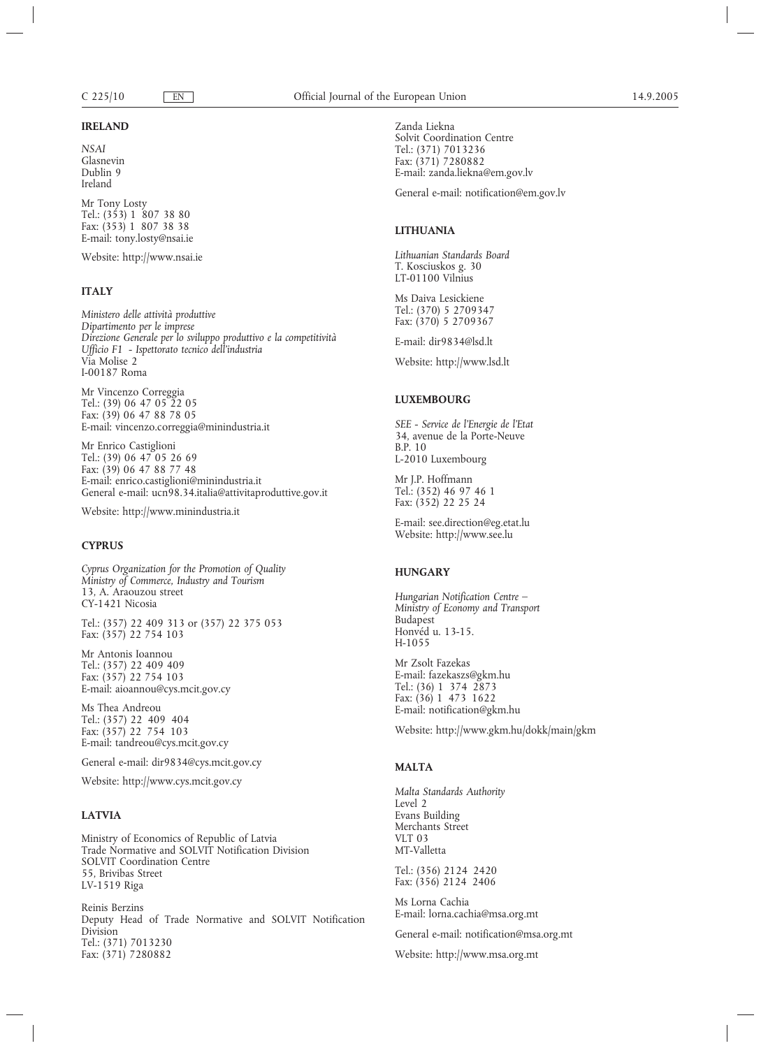#### **IRELAND**

*NSAI* Glasnevin Dublin 9 Ireland

Mr Tony Losty Tel.: (353) 1 807 38 80 Fax: (353) 1 807 38 38 E-mail: tony.losty@nsai.ie

Website: http://www.nsai.ie

#### **ITALY**

*Ministero delle attività produttive Dipartimento per le imprese Direzione Generale per lo sviluppo produttivo e la competitività Ufficio F1 - Ispettorato tecnico dell'industria* Via Molise 2 I-00187 Roma

Mr Vincenzo Correggia Tel.: (39) 06 47 05 22 05 Fax: (39) 06 47 88 78 05 E-mail: vincenzo.correggia@minindustria.it

Mr Enrico Castiglioni Tel.: (39) 06 47 05 26 69 Fax: (39) 06 47 88 77 48 E-mail: enrico.castiglioni@minindustria.it General e-mail: ucn98.34.italia@attivitaproduttive.gov.it

Website: http://www.minindustria.it

#### **CYPRUS**

*Cyprus Organization for the Promotion of Quality Ministry of Commerce, Industry and Tourism* 13, A. Araouzou street CY-1421 Nicosia

Tel.: (357) 22 409 313 or (357) 22 375 053 Fax: (357) 22 754 103

Mr Antonis Ioannou Tel.: (357) 22 409 409 Fax: (357) 22 754 103 E-mail: aioannou@cys.mcit.gov.cy

Ms Thea Andreou Tel.: (357) 22 409 404 Fax: (357) 22 754 103 E-mail: tandreou@cys.mcit.gov.cy

General e-mail: dir9834@cys.mcit.gov.cy

Website: http://www.cys.mcit.gov.cy

# **LATVIA**

Ministry of Economics of Republic of Latvia Trade Normative and SOLVIT Notification Division SOLVIT Coordination Centre 55, Brivibas Street LV-1519 Riga

Reinis Berzins Deputy Head of Trade Normative and SOLVIT Notification Division Tel.: (371) 7013230 Fax: (371) 7280882

Zanda Liekna Solvit Coordination Centre Tel.: (371) 7013236 Fax: (371) 7280882 E-mail: zanda.liekna@em.gov.lv

General e-mail: notification@em.gov.lv

# **LITHUANIA**

*Lithuanian Standards Board* T. Kosciuskos g. 30 LT-01100 Vilnius

Ms Daiva Lesickiene Tel.: (370) 5 2709347 Fax: (370) 5 2709367

E-mail: dir9834@lsd.lt

Website: http://www.lsd.lt

# **LUXEMBOURG**

*SEE - Service de l'Energie de l'Etat* 34, avenue de la Porte-Neuve B.P. 10 L-2010 Luxembourg

Mr J.P. Hoffmann Tel.: (352) 46 97 46 1 Fax: (352) 22 25 24

E-mail: see.direction@eg.etat.lu Website: http://www.see.lu

#### **HUNGARY**

*Hungarian Notification Centre – Ministry of Economy and Transport* Budapest Honvéd u. 13-15. H-1055

Mr Zsolt Fazekas E-mail: fazekaszs@gkm.hu Tel.: (36) 1 374 2873 Fax: (36) 1 473 1622 E-mail: notification@gkm.hu

Website: http://www.gkm.hu/dokk/main/gkm

# **MALTA**

*Malta Standards Authority* Level 2 Evans Building Merchants Street VLT 03 MT-Valletta

Tel.: (356) 2124 2420 Fax: (356) 2124 2406

Ms Lorna Cachia E-mail: lorna.cachia@msa.org.mt

General e-mail: notification@msa.org.mt

Website: http://www.msa.org.mt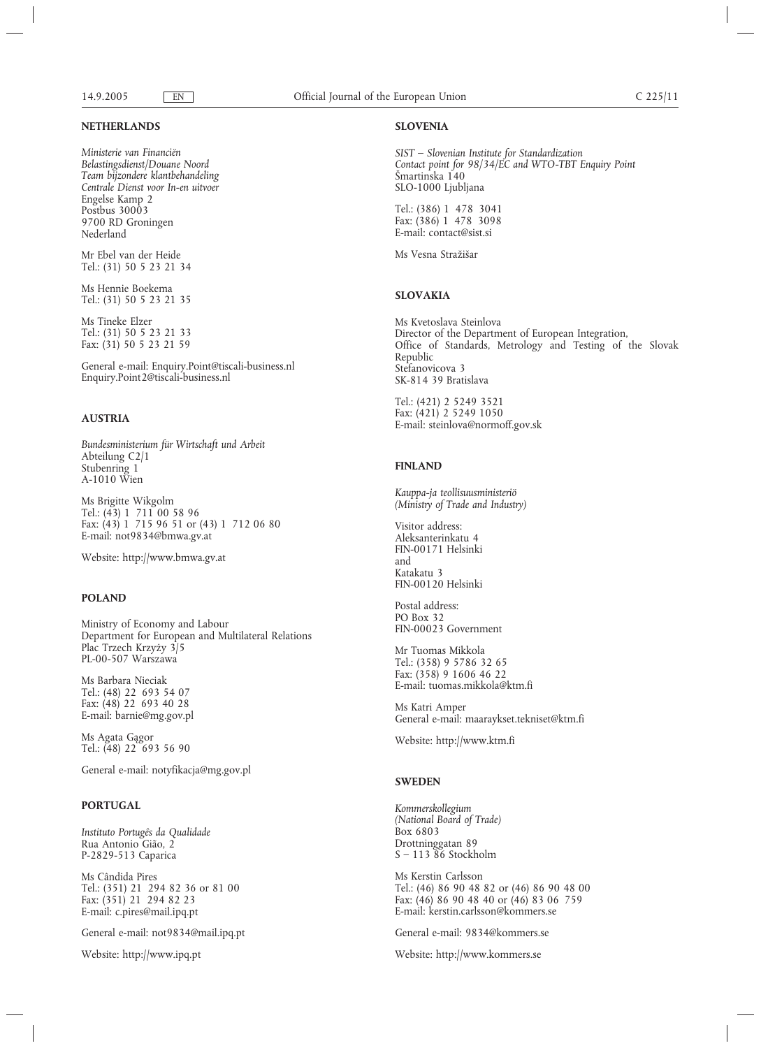# **NETHERLANDS**

*Ministerie van Financiën Belastingsdienst/Douane Noord Team bijzondere klantbehandeling Centrale Dienst voor In-en uitvoer* Engelse Kamp 2 Postbus 30003 9700 RD Groningen Nederland

Mr Ebel van der Heide Tel.: (31) 50 5 23 21 34

Ms Hennie Boekema Tel.: (31) 50 5 23 21 35

Ms Tineke Elzer Tel.: (31) 50 5 23 21 33 Fax: (31) 50 5 23 21 59

General e-mail: Enquiry.Point@tiscali-business.nl Enquiry.Point2@tiscali-business.nl

#### **AUSTRIA**

*Bundesministerium für Wirtschaft und Arbeit* Abteilung C2/1 Stubenring 1 A-1010 Wien

Ms Brigitte Wikgolm Tel.: (43) 1 711 00 58 96 Fax: (43) 1 715 96 51 or (43) 1 712 06 80 E-mail: not9834@bmwa.gv.at

Website: http://www.bmwa.gv.at

#### **POLAND**

Ministry of Economy and Labour Department for European and Multilateral Relations Plac Trzech Krzyży 3/5 PL-00-507 Warszawa

Ms Barbara Nieciak Tel.: (48) 22 693 54 07 Fax: (48) 22 693 40 28 E-mail: barnie@mg.gov.pl

Ms Agata Gągor Tel.: (48) 22 693 56 90

General e-mail: notyfikacja@mg.gov.pl

# **PORTUGAL**

*Instituto Portugês da Qualidade* Rua Antonio Gião, 2 P-2829-513 Caparica

Ms Cândida Pires Tel.: (351) 21 294 82 36 or 81 00 Fax: (351) 21 294 82 23 E-mail: c.pires@mail.ipq.pt

General e-mail: not9834@mail.ipq.pt

Website: http://www.ipq.pt

#### **SLOVENIA**

*SIST – Slovenian Institute for Standardization Contact point for 98/34/EC and WTO-TBT Enquiry Point* Šmartinska 140 SLO-1000 Ljubljana

Tel.: (386) 1 478 3041 Fax: (386) 1 478 3098 E-mail: contact@sist.si

Ms Vesna Stražišar

# **SLOVAKIA**

Ms Kvetoslava Steinlova Director of the Department of European Integration, Office of Standards, Metrology and Testing of the Slovak Republic Stefanovicova 3 SK-814 39 Bratislava

Tel.: (421) 2 5249 3521 Fax: (421) 2 5249 1050 E-mail: steinlova@normoff.gov.sk

# **FINLAND**

*Kauppa-ja teollisuusministeriö (Ministry of Trade and Industry)*

Visitor address: Aleksanterinkatu 4 FIN-00171 Helsinki and Katakatu 3 FIN-00120 Helsinki

Postal address: PO Box 32 FIN-00023 Government

Mr Tuomas Mikkola Tel.: (358) 9 5786 32 65 Fax: (358) 9 1606 46 22 E-mail: tuomas.mikkola@ktm.fi

Ms Katri Amper General e-mail: maaraykset.tekniset@ktm.fi

Website: http://www.ktm.fi

#### **SWEDEN**

*Kommerskollegium (National Board of Trade)* Box 6803 Drottninggatan 89  $S - 11386$  Stockholm

Ms Kerstin Carlsson Tel.: (46) 86 90 48 82 or (46) 86 90 48 00 Fax: (46) 86 90 48 40 or (46) 83 06 759 E-mail: kerstin.carlsson@kommers.se

General e-mail: 9834@kommers.se

Website: http://www.kommers.se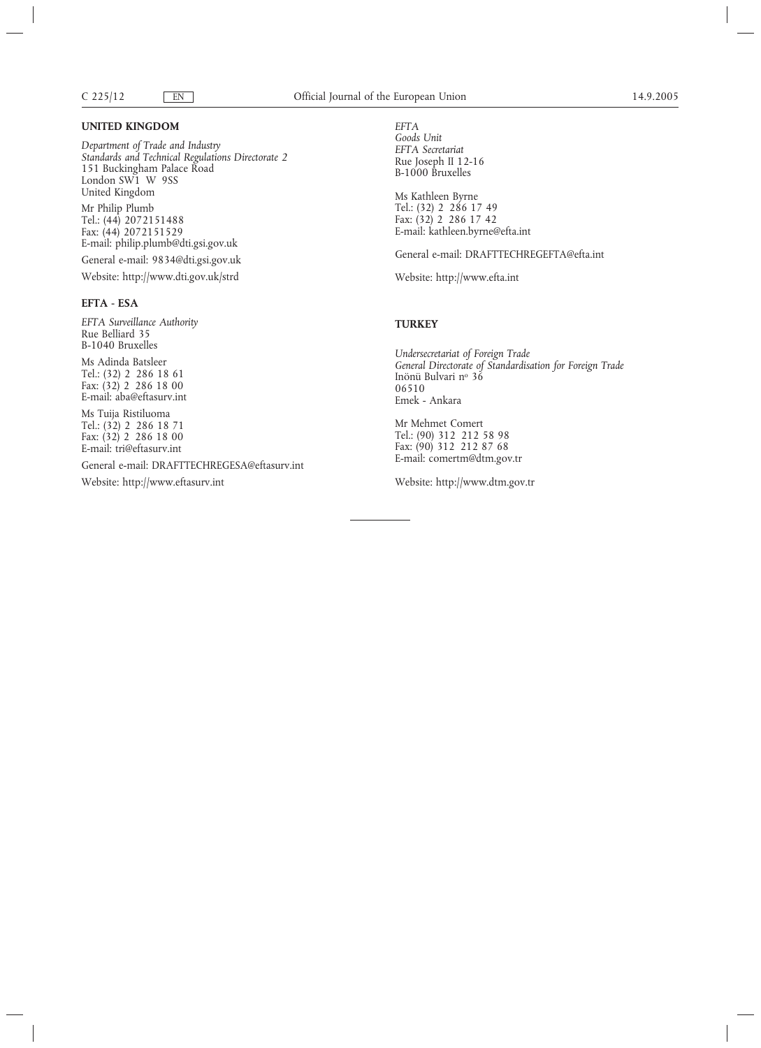#### **UNITED KINGDOM**

*Department of Trade and Industry Standards and Technical Regulations Directorate 2* 151 Buckingham Palace Road London SW1 W 9SS United Kingdom Mr Philip Plumb Tel.: (44) 2072151488 Fax: (44) 2072151529

E-mail: philip.plumb@dti.gsi.gov.uk

General e-mail: 9834@dti.gsi.gov.uk

Website: http://www.dti.gov.uk/strd

# **EFTA - ESA**

*EFTA Surveillance Authority* Rue Belliard 35 B-1040 Bruxelles

Ms Adinda Batsleer Tel.: (32) 2 286 18 61 Fax: (32) 2 286 18 00 E-mail: aba@eftasurv.int

Ms Tuija Ristiluoma Tel.: (32) 2 286 18 71 Fax: (32) 2 286 18 00 E-mail: tri@eftasurv.int

General e-mail: DRAFTTECHREGESA@eftasurv.int

Website: http://www.eftasurv.int

*EFTA Goods Unit EFTA Secretariat* Rue Joseph II 12-16 B-1000 Bruxelles

Ms Kathleen Byrne Tel.: (32) 2 286 17 49 Fax: (32) 2 286 17 42 E-mail: kathleen.byrne@efta.int

General e-mail: DRAFTTECHREGEFTA@efta.int

Website: http://www.efta.int

# **TURKEY**

*Undersecretariat of Foreign Trade General Directorate of Standardisation for Foreign Trade* Inönü Bulvari nº 36 06510 Emek - Ankara

Mr Mehmet Comert Tel.: (90) 312 212 58 98 Fax: (90) 312 212 87 68 E-mail: comertm@dtm.gov.tr

Website: http://www.dtm.gov.tr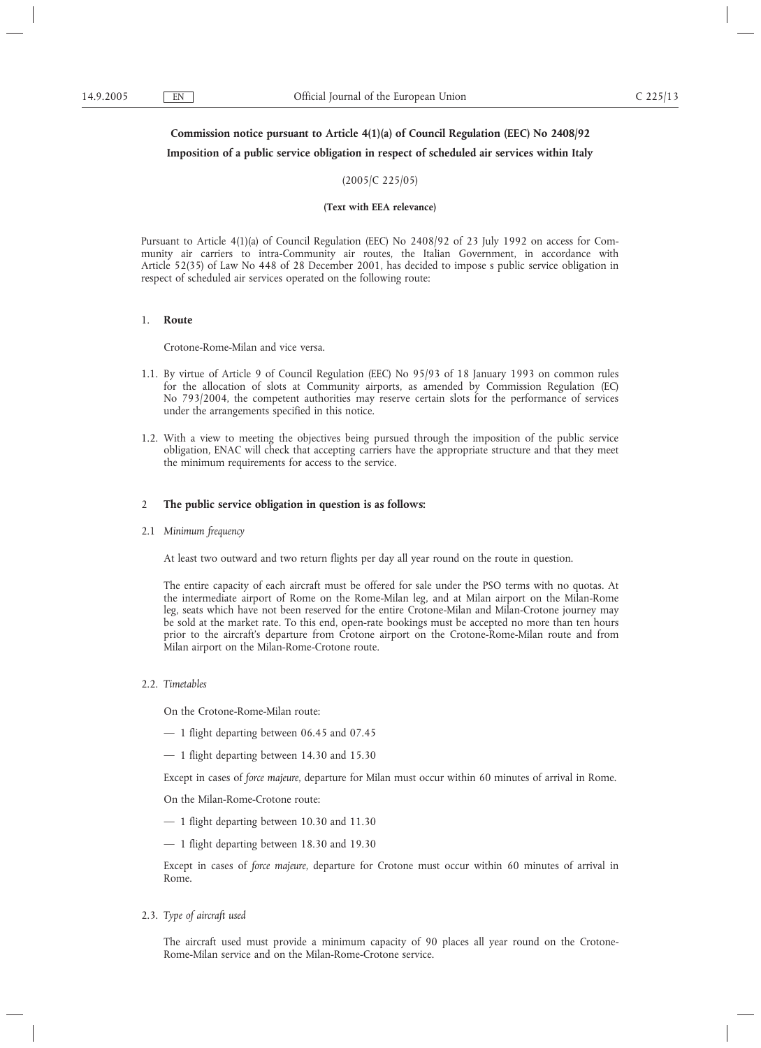# **Commission notice pursuant to Article 4(1)(a) of Council Regulation (EEC) No 2408/92**

# **Imposition of a public service obligation in respect of scheduled air services within Italy**

# (2005/C 225/05)

#### **(Text with EEA relevance)**

Pursuant to Article 4(1)(a) of Council Regulation (EEC) No 2408/92 of 23 July 1992 on access for Community air carriers to intra-Community air routes, the Italian Government, in accordance with Article 52(35) of Law No 448 of 28 December 2001, has decided to impose s public service obligation in respect of scheduled air services operated on the following route:

#### 1. **Route**

Crotone-Rome-Milan and vice versa.

- 1.1. By virtue of Article 9 of Council Regulation (EEC) No 95/93 of 18 January 1993 on common rules for the allocation of slots at Community airports, as amended by Commission Regulation (EC) No 793/2004, the competent authorities may reserve certain slots for the performance of services under the arrangements specified in this notice.
- 1.2. With a view to meeting the objectives being pursued through the imposition of the public service obligation, ENAC will check that accepting carriers have the appropriate structure and that they meet the minimum requirements for access to the service.

#### 2 **The public service obligation in question is as follows:**

2.1 *Minimum frequency*

At least two outward and two return flights per day all year round on the route in question.

The entire capacity of each aircraft must be offered for sale under the PSO terms with no quotas. At the intermediate airport of Rome on the Rome-Milan leg, and at Milan airport on the Milan-Rome leg, seats which have not been reserved for the entire Crotone-Milan and Milan-Crotone journey may be sold at the market rate. To this end, open-rate bookings must be accepted no more than ten hours prior to the aircraft's departure from Crotone airport on the Crotone-Rome-Milan route and from Milan airport on the Milan-Rome-Crotone route.

2.2. *Timetables*

On the Crotone-Rome-Milan route:

- 1 flight departing between 06.45 and 07.45
- 1 flight departing between 14.30 and 15.30

Except in cases of *force majeure*, departure for Milan must occur within 60 minutes of arrival in Rome.

On the Milan-Rome-Crotone route:

- 1 flight departing between 10.30 and 11.30
- 1 flight departing between 18.30 and 19.30

Except in cases of *force majeure*, departure for Crotone must occur within 60 minutes of arrival in Rome.

2.3. *Type of aircraft used*

The aircraft used must provide a minimum capacity of 90 places all year round on the Crotone-Rome-Milan service and on the Milan-Rome-Crotone service.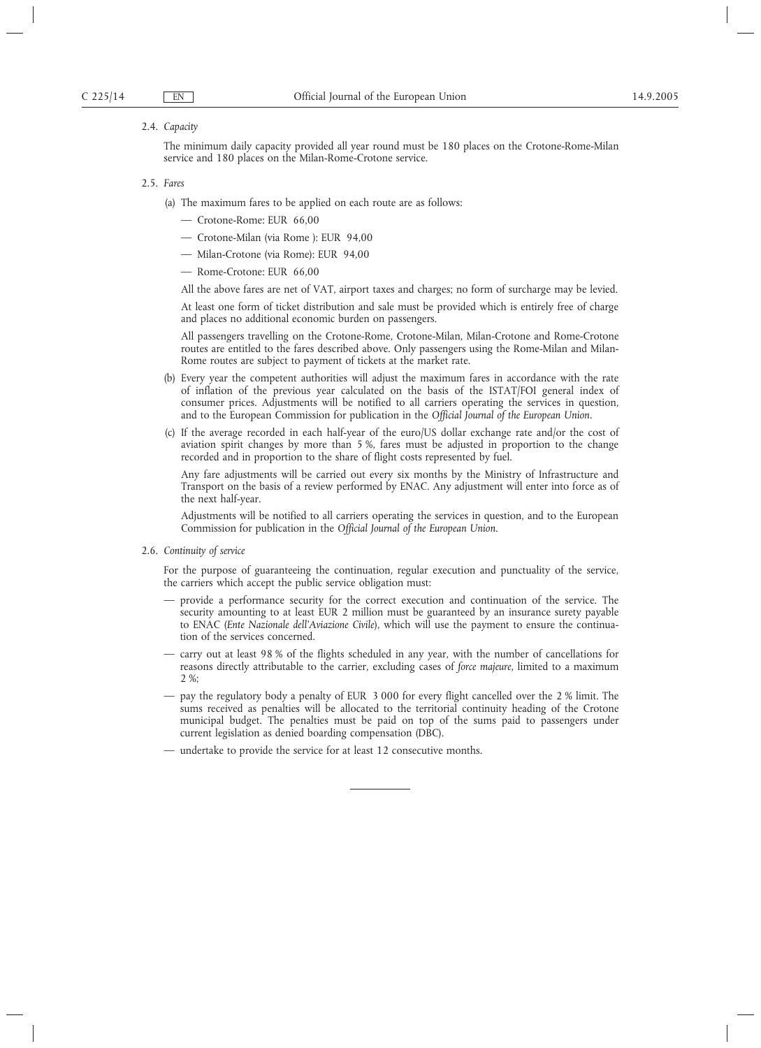#### 2.4. *Capacity*

The minimum daily capacity provided all year round must be 180 places on the Crotone-Rome-Milan service and 180 places on the Milan-Rome-Crotone service.

#### 2.5. *Fares*

- (a) The maximum fares to be applied on each route are as follows:
	- Crotone-Rome: EUR 66,00
	- Crotone-Milan (via Rome ): EUR 94,00
	- Milan-Crotone (via Rome): EUR 94,00
	- Rome-Crotone: EUR 66,00

All the above fares are net of VAT, airport taxes and charges; no form of surcharge may be levied.

At least one form of ticket distribution and sale must be provided which is entirely free of charge and places no additional economic burden on passengers.

All passengers travelling on the Crotone-Rome, Crotone-Milan, Milan-Crotone and Rome-Crotone routes are entitled to the fares described above. Only passengers using the Rome-Milan and Milan-Rome routes are subject to payment of tickets at the market rate.

- (b) Every year the competent authorities will adjust the maximum fares in accordance with the rate of inflation of the previous year calculated on the basis of the ISTAT/FOI general index of consumer prices. Adjustments will be notified to all carriers operating the services in question, and to the European Commission for publication in the *Official Journal of the European Union*.
- (c) If the average recorded in each half-year of the euro/US dollar exchange rate and/or the cost of aviation spirit changes by more than 5 %, fares must be adjusted in proportion to the change recorded and in proportion to the share of flight costs represented by fuel.

Any fare adjustments will be carried out every six months by the Ministry of Infrastructure and Transport on the basis of a review performed by ENAC. Any adjustment will enter into force as of the next half-year.

Adjustments will be notified to all carriers operating the services in question, and to the European Commission for publication in the *Official Journal of the European Union*.

2.6. *Continuity of service*

For the purpose of guaranteeing the continuation, regular execution and punctuality of the service, the carriers which accept the public service obligation must:

- provide a performance security for the correct execution and continuation of the service. The security amounting to at least EUR 2 million must be guaranteed by an insurance surety payable to ENAC (*Ente Nazionale dell'Aviazione Civile*), which will use the payment to ensure the continuation of the services concerned.
- carry out at least 98 % of the flights scheduled in any year, with the number of cancellations for reasons directly attributable to the carrier, excluding cases of *force majeure*, limited to a maximum 2 %;
- pay the regulatory body a penalty of EUR 3 000 for every flight cancelled over the 2 % limit. The sums received as penalties will be allocated to the territorial continuity heading of the Crotone municipal budget. The penalties must be paid on top of the sums paid to passengers under current legislation as denied boarding compensation (DBC).
- undertake to provide the service for at least 12 consecutive months.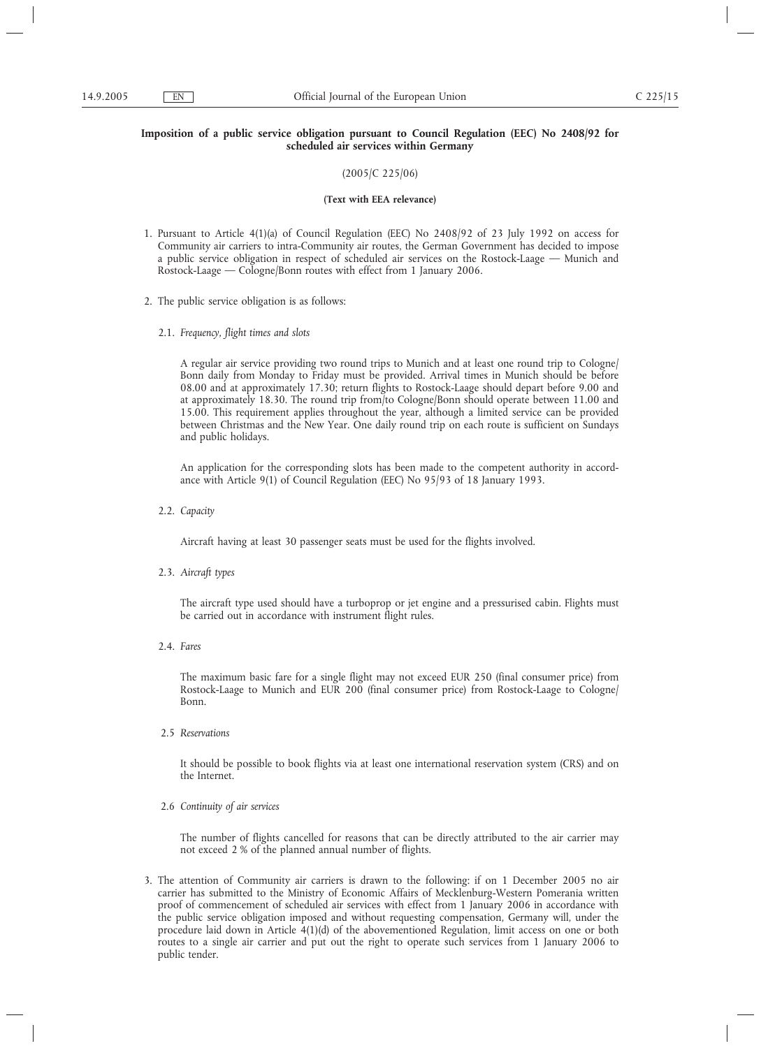# **Imposition of a public service obligation pursuant to Council Regulation (EEC) No 2408/92 for scheduled air services within Germany**

# (2005/C 225/06)

#### **(Text with EEA relevance)**

- 1. Pursuant to Article 4(1)(a) of Council Regulation (EEC) No 2408/92 of 23 July 1992 on access for Community air carriers to intra-Community air routes, the German Government has decided to impose a public service obligation in respect of scheduled air services on the Rostock-Laage — Munich and Rostock-Laage — Cologne/Bonn routes with effect from 1 January 2006.
- 2. The public service obligation is as follows:
	- 2.1. *Frequency, flight times and slots*

A regular air service providing two round trips to Munich and at least one round trip to Cologne/ Bonn daily from Monday to Friday must be provided. Arrival times in Munich should be before 08.00 and at approximately 17.30; return flights to Rostock-Laage should depart before 9.00 and at approximately 18.30. The round trip from/to Cologne/Bonn should operate between 11.00 and 15.00. This requirement applies throughout the year, although a limited service can be provided between Christmas and the New Year. One daily round trip on each route is sufficient on Sundays and public holidays.

An application for the corresponding slots has been made to the competent authority in accordance with Article 9(1) of Council Regulation (EEC) No 95/93 of 18 January 1993.

2.2. *Capacity*

Aircraft having at least 30 passenger seats must be used for the flights involved.

2.3. *Aircraft types*

The aircraft type used should have a turboprop or jet engine and a pressurised cabin. Flights must be carried out in accordance with instrument flight rules.

2.4. *Fares*

The maximum basic fare for a single flight may not exceed EUR 250 (final consumer price) from Rostock-Laage to Munich and EUR 200 (final consumer price) from Rostock-Laage to Cologne/ Bonn.

2.5 *Reservations*

It should be possible to book flights via at least one international reservation system (CRS) and on the Internet.

2.6 *Continuity of air services*

The number of flights cancelled for reasons that can be directly attributed to the air carrier may not exceed 2 % of the planned annual number of flights.

3. The attention of Community air carriers is drawn to the following: if on 1 December 2005 no air carrier has submitted to the Ministry of Economic Affairs of Mecklenburg-Western Pomerania written proof of commencement of scheduled air services with effect from 1 January 2006 in accordance with the public service obligation imposed and without requesting compensation, Germany will, under the procedure laid down in Article 4(1)(d) of the abovementioned Regulation, limit access on one or both routes to a single air carrier and put out the right to operate such services from 1 January 2006 to public tender.